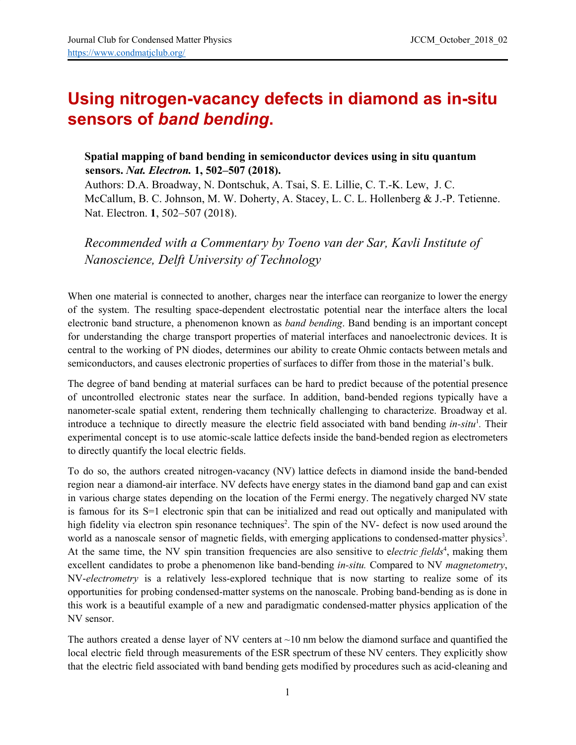## **Using nitrogen-vacancy defects in diamond as in-situ sensors of** *band bending***.**

## **Spatial mapping of band bending in semiconductor devices using in situ quantum sensors.** *Nat. Electron.* **1, 502–507 (2018).**

Authors: D.A. Broadway, N. Dontschuk, A. Tsai, S. E. Lillie, C. T.-K. Lew, J. C. McCallum, B. C. Johnson, M. W. Doherty, A. Stacey, L. C. L. Hollenberg & J.-P. Tetienne. Nat. Electron. **1**, 502–507 (2018).

*Recommended with a Commentary by Toeno van der Sar, Kavli Institute of Nanoscience, Delft University of Technology*

When one material is connected to another, charges near the interface can reorganize to lower the energy of the system. The resulting space-dependent electrostatic potential near the interface alters the local electronic band structure, a phenomenon known as *band bending*. Band bending is an important concept for understanding the charge transport properties of material interfaces and nanoelectronic devices. It is central to the working of PN diodes, determines our ability to create Ohmic contacts between metals and semiconductors, and causes electronic properties of surfaces to differ from those in the material's bulk.

The degree of band bending at material surfaces can be hard to predict because of the potential presence of uncontrolled electronic states near the surface. In addition, band-bended regions typically have a nanometer-scale spatial extent, rendering them technically challenging to characterize. Broadway et al. introduce a technique to directly measure the electric field associated with band bending *in-situ*<sup>1</sup>. Their experimental concept is to use atomic-scale lattice defects inside the band-bended region as electrometers to directly quantify the local electric fields.

To do so, the authors created nitrogen-vacancy (NV) lattice defects in diamond inside the band-bended region near a diamond-air interface. NV defects have energy states in the diamond band gap and can exist in various charge states depending on the location of the Fermi energy. The negatively charged NV state is famous for its S=1 electronic spin that can be initialized and read out optically and manipulated with high fidelity via electron spin resonance techniques<sup>2</sup>. The spin of the NV- defect is now used around the world as a nanoscale sensor of magnetic fields, with emerging applications to condensed-matter physics<sup>3</sup>. At the same time, the NV spin transition frequencies are also sensitive to electric fields<sup>4</sup>, making them excellent candidates to probe a phenomenon like band-bending *in-situ.* Compared to NV *magnetometry*, NV-*electrometry* is a relatively less-explored technique that is now starting to realize some of its opportunities for probing condensed-matter systems on the nanoscale. Probing band-bending as is done in this work is a beautiful example of a new and paradigmatic condensed-matter physics application of the NV sensor.

The authors created a dense layer of NV centers at  $\sim$ 10 nm below the diamond surface and quantified the local electric field through measurements of the ESR spectrum of these NV centers. They explicitly show that the electric field associated with band bending gets modified by procedures such as acid-cleaning and